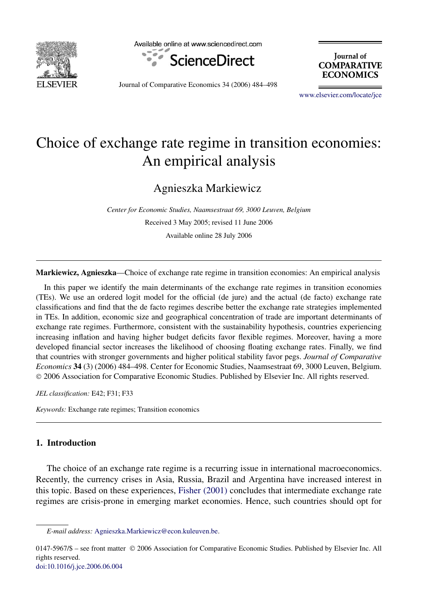

Available online at www.sciencedirect.com



**Tournal** of **COMPARATIVE ECONOMICS** 

Journal of Comparative Economics 34 (2006) 484–498

[www.elsevier.com/locate/jce](http://www.elsevier.com/locate/jce)

## Choice of exchange rate regime in transition economies: An empirical analysis

Agnieszka Markiewicz

*Center for Economic Studies, Naamsestraat 69, 3000 Leuven, Belgium* Received 3 May 2005; revised 11 June 2006 Available online 28 July 2006

**Markiewicz, Agnieszka**—Choice of exchange rate regime in transition economies: An empirical analysis

In this paper we identify the main determinants of the exchange rate regimes in transition economies (TEs). We use an ordered logit model for the official (de jure) and the actual (de facto) exchange rate classifications and find that the de facto regimes describe better the exchange rate strategies implemented in TEs. In addition, economic size and geographical concentration of trade are important determinants of exchange rate regimes. Furthermore, consistent with the sustainability hypothesis, countries experiencing increasing inflation and having higher budget deficits favor flexible regimes. Moreover, having a more developed financial sector increases the likelihood of choosing floating exchange rates. Finally, we find that countries with stronger governments and higher political stability favor pegs. *Journal of Comparative Economics* **34** (3) (2006) 484–498. Center for Economic Studies, Naamsestraat 69, 3000 Leuven, Belgium. © 2006 Association for Comparative Economic Studies. Published by Elsevier Inc. All rights reserved.

*JEL classification:* E42; F31; F33

*Keywords:* Exchange rate regimes; Transition economics

## **1. Introduction**

The choice of an exchange rate regime is a recurring issue in international macroeconomics. Recently, the currency crises in Asia, Russia, Brazil and Argentina have increased interest in this topic. Based on these experiences, [Fisher \(2001\)](#page--1-0) concludes that intermediate exchange rate regimes are crisis-prone in emerging market economies. Hence, such countries should opt for

*E-mail address:* [Agnieszka.Markiewicz@econ.kuleuven.be](mailto:Agnieszka.Markiewicz@econ.kuleuven.be).

<sup>0147-5967/\$ –</sup> see front matter © 2006 Association for Comparative Economic Studies. Published by Elsevier Inc. All rights reserved.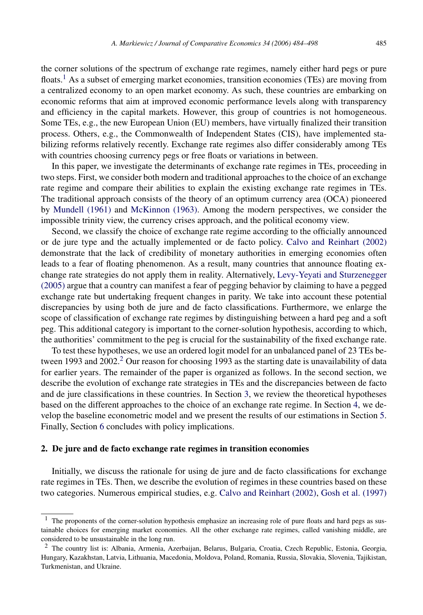the corner solutions of the spectrum of exchange rate regimes, namely either hard pegs or pure floats.<sup>1</sup> As a subset of emerging market economies, transition economies (TEs) are moving from a centralized economy to an open market economy. As such, these countries are embarking on economic reforms that aim at improved economic performance levels along with transparency and efficiency in the capital markets. However, this group of countries is not homogeneous. Some TEs, e.g., the new European Union (EU) members, have virtually finalized their transition process. Others, e.g., the Commonwealth of Independent States (CIS), have implemented stabilizing reforms relatively recently. Exchange rate regimes also differ considerably among TEs with countries choosing currency pegs or free floats or variations in between.

In this paper, we investigate the determinants of exchange rate regimes in TEs, proceeding in two steps. First, we consider both modern and traditional approaches to the choice of an exchange rate regime and compare their abilities to explain the existing exchange rate regimes in TEs. The traditional approach consists of the theory of an optimum currency area (OCA) pioneered by [Mundell \(1961\)](#page--1-0) and [McKinnon \(1963\).](#page--1-0) Among the modern perspectives, we consider the impossible trinity view, the currency crises approach, and the political economy view.

Second, we classify the choice of exchange rate regime according to the officially announced or de jure type and the actually implemented or de facto policy. [Calvo and Reinhart \(2002\)](#page--1-0) demonstrate that the lack of credibility of monetary authorities in emerging economies often leads to a fear of floating phenomenon. As a result, many countries that announce floating exchange rate strategies do not apply them in reality. Alternatively, [Levy-Yeyati and Sturzenegger](#page--1-0) [\(2005\)](#page--1-0) argue that a country can manifest a fear of pegging behavior by claiming to have a pegged exchange rate but undertaking frequent changes in parity. We take into account these potential discrepancies by using both de jure and de facto classifications. Furthermore, we enlarge the scope of classification of exchange rate regimes by distinguishing between a hard peg and a soft peg. This additional category is important to the corner-solution hypothesis, according to which, the authorities' commitment to the peg is crucial for the sustainability of the fixed exchange rate.

To test these hypotheses, we use an ordered logit model for an unbalanced panel of 23 TEs between 1993 and  $2002<sup>2</sup>$  Our reason for choosing 1993 as the starting date is unavailability of data for earlier years. The remainder of the paper is organized as follows. In the second section, we describe the evolution of exchange rate strategies in TEs and the discrepancies between de facto and de jure classifications in these countries. In Section [3,](#page--1-0) we review the theoretical hypotheses based on the different approaches to the choice of an exchange rate regime. In Section [4,](#page--1-0) we develop the baseline econometric model and we present the results of our estimations in Section [5.](#page--1-0) Finally, Section [6](#page--1-0) concludes with policy implications.

## **2. De jure and de facto exchange rate regimes in transition economies**

Initially, we discuss the rationale for using de jure and de facto classifications for exchange rate regimes in TEs. Then, we describe the evolution of regimes in these countries based on these two categories. Numerous empirical studies, e.g. [Calvo and Reinhart \(2002\),](#page--1-0) [Gosh et al. \(1997\)](#page--1-0)

<sup>&</sup>lt;sup>1</sup> The proponents of the corner-solution hypothesis emphasize an increasing role of pure floats and hard pegs as sustainable choices for emerging market economies. All the other exchange rate regimes, called vanishing middle, are considered to be unsustainable in the long run.

<sup>2</sup> The country list is: Albania, Armenia, Azerbaijan, Belarus, Bulgaria, Croatia, Czech Republic, Estonia, Georgia, Hungary, Kazakhstan, Latvia, Lithuania, Macedonia, Moldova, Poland, Romania, Russia, Slovakia, Slovenia, Tajikistan, Turkmenistan, and Ukraine.